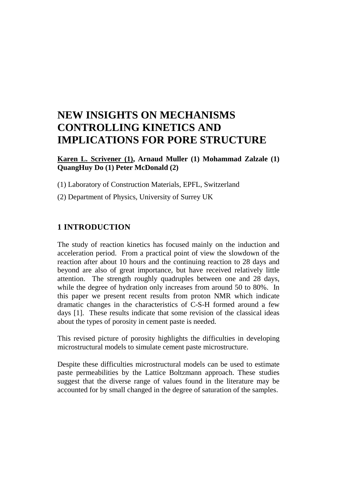# **NEW INSIGHTS ON MECHANISMS CONTROLLING KINETICS AND IMPLICATIONS FOR PORE STRUCTURE**

**Karen L. Scrivener (1), Arnaud Muller (1) Mohammad Zalzale (1) QuangHuy Do (1) Peter McDonald (2)**

(1) Laboratory of Construction Materials, EPFL, Switzerland

(2) Department of Physics, University of Surrey UK

### **1 INTRODUCTION**

The study of reaction kinetics has focused mainly on the induction and acceleration period. From a practical point of view the slowdown of the reaction after about 10 hours and the continuing reaction to 28 days and beyond are also of great importance, but have received relatively little attention. The strength roughly quadruples between one and 28 days, while the degree of hydration only increases from around 50 to 80%. In this paper we present recent results from proton NMR which indicate dramatic changes in the characteristics of C-S-H formed around a few days [1]. These results indicate that some revision of the classical ideas about the types of porosity in cement paste is needed.

This revised picture of porosity highlights the difficulties in developing microstructural models to simulate cement paste microstructure.

Despite these difficulties microstructural models can be used to estimate paste permeabilities by the Lattice Boltzmann approach. These studies suggest that the diverse range of values found in the literature may be accounted for by small changed in the degree of saturation of the samples.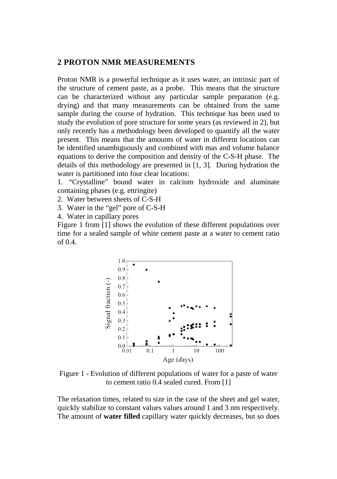#### **2 PROTON NMR MEASUREMENTS**

Proton NMR is a powerful technique as it uses water, an intrinsic part of the structure of cement paste, as a probe. This means that the structure can be characterized without any particular sample preparation (e.g. drying) and that many measurements can be obtained from the same sample during the course of hydration. This technique has been used to study the evolution of pore structure for some years (as reviewed in 2), but only recently has a methodology been developed to quantify all the water present. This means that the amounts of water in different locations can be identified unambiguously and combined with mas and volume balance equations to derive the composition and density of the C-S-H phase. The details of this methodology are presented in [1, 3]. During hydration the water is partitioned into four clear locations:

1. "Crystalline" bound water in calcium hydroxide and aluminate containing phases (e.g. ettringite)

2. Water between sheets of C-S-H

- 3. Water in the "gel" pore of C-S-H
- 4. Water in capillary pores

Figure 1 from [1] shows the evolution of these different populations over time for a sealed sample of white cement paste at a water to cement ratio of 0.4.



Figure 1 - Evolution of different populations of water for a paste of water to cement ratio 0.4 sealed cured. From [1]

The relaxation times, related to size in the case of the sheet and gel water, quickly stabilize to constant values values around 1 and 3 nm respectively. The amount of **water filled** capillary water quickly decreases, but so does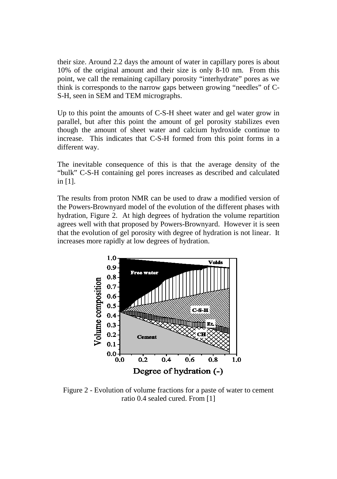their size. Around 2.2 days the amount of water in capillary pores is about 10% of the original amount and their size is only 8-10 nm. From this point, we call the remaining capillary porosity "interhydrate" pores as we think is corresponds to the narrow gaps between growing "needles" of C-S-H, seen in SEM and TEM micrographs.

Up to this point the amounts of C-S-H sheet water and gel water grow in parallel, but after this point the amount of gel porosity stabilizes even though the amount of sheet water and calcium hydroxide continue to increase. This indicates that C-S-H formed from this point forms in a different way.

The inevitable consequence of this is that the average density of the "bulk" C-S-H containing gel pores increases as described and calculated in [1].

The results from proton NMR can be used to draw a modified version of the Powers-Brownyard model of the evolution of the different phases with hydration, Figure 2. At high degrees of hydration the volume repartition agrees well with that proposed by Powers-Brownyard. However it is seen that the evolution of gel porosity with degree of hydration is not linear. It increases more rapidly at low degrees of hydration.



Figure 2 - Evolution of volume fractions for a paste of water to cement ratio 0.4 sealed cured. From [1]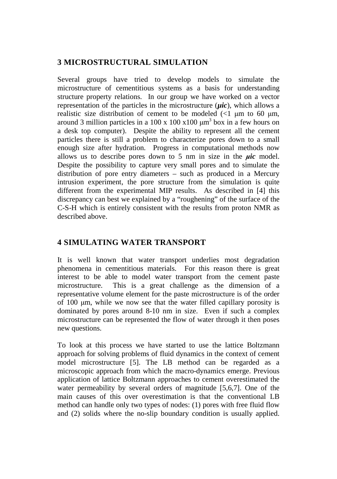## **3 MICROSTRUCTURAL SIMULATION**

Several groups have tried to develop models to simulate the microstructure of cementitious systems as a basis for understanding structure property relations. In our group we have worked on a vector representation of the particles in the microstructure (*µic*), which allows a realistic size distribution of cement to be modeled  $\ll 1$  um to 60 um, around 3 million particles in a  $100 \times 100 \times 100 \mu m^3$  box in a few hours on a desk top computer). Despite the ability to represent all the cement particles there is still a problem to characterize pores down to a small enough size after hydration. Progress in computational methods now allows us to describe pores down to 5 nm in size in the *μic* model. Despite the possibility to capture very small pores and to simulate the distribution of pore entry diameters – such as produced in a Mercury intrusion experiment, the pore structure from the simulation is quite different from the experimental MIP results. As described in [4] this discrepancy can best we explained by a "roughening" of the surface of the C-S-H which is entirely consistent with the results from proton NMR as described above.

## **4 SIMULATING WATER TRANSPORT**

It is well known that water transport underlies most degradation phenomena in cementitious materials. For this reason there is great interest to be able to model water transport from the cement paste microstructure. This is a great challenge as the dimension of a representative volume element for the paste microstructure is of the order of 100 μm, while we now see that the water filled capillary porosity is dominated by pores around 8-10 nm in size. Even if such a complex microstructure can be represented the flow of water through it then poses new questions.

To look at this process we have started to use the lattice Boltzmann approach for solving problems of fluid dynamics in the context of cement model microstructure [5]. The LB method can be regarded as a microscopic approach from which the macro-dynamics emerge. Previous application of lattice Boltzmann approaches to cement overestimated the water permeability by several orders of magnitude [5,6,7]. One of the main causes of this over overestimation is that the conventional LB method can handle only two types of nodes: (1) pores with free fluid flow and (2) solids where the no-slip boundary condition is usually applied.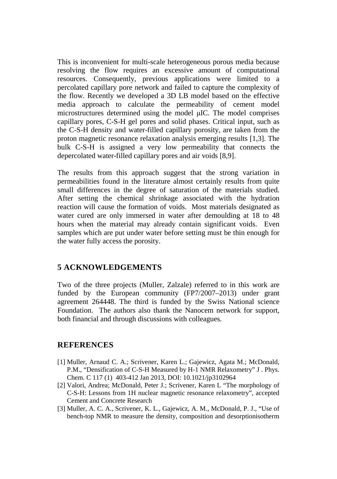This is inconvenient for multi-scale heterogeneous porous media because resolving the flow requires an excessive amount of computational resources. Consequently, previous applications were limited to a percolated capillary pore network and failed to capture the complexity of the flow. Recently we developed a 3D LB model based on the effective media approach to calculate the permeability of cement model microstructures determined using the model μIC. The model comprises capillary pores, C-S-H gel pores and solid phases. Critical input, such as the C-S-H density and water-filled capillary porosity, are taken from the proton magnetic resonance relaxation analysis emerging results [1,3]. The bulk C-S-H is assigned a very low permeability that connects the depercolated water-filled capillary pores and air voids [8,9].

The results from this approach suggest that the strong variation in permeabilities found in the literature almost certainly results from quite small differences in the degree of saturation of the materials studied. After setting the chemical shrinkage associated with the hydration reaction will cause the formation of voids. Most materials designated as water cured are only immersed in water after demoulding at 18 to 48 hours when the material may already contain significant voids. Even samples which are put under water before setting must be thin enough for the water fully access the porosity.

#### **5 ACKNOWLEDGEMENTS**

Two of the three projects (Muller, Zalzale) referred to in this work are funded by the European community (FP7/2007–2013) under grant agreement 264448. The third is funded by the Swiss National science Foundation. The authors also thank the Nanocem network for support, both financial and through discussions with colleagues.

#### **REFERENCES**

- [1] Muller, Arnaud C. A.; Scrivener, Karen L.; Gajewicz, Agata M.; McDonald, P.M., "Densification of C-S-H Measured by H-1 NMR Relaxometry" J . Phys. Chem. C 117 (1) 403-412 Jan 2013, DOI: 10.1021/jp3102964
- [2] Valori, Andrea; McDonald, Peter J.; Scrivener, Karen L "The morphology of C-S-H: Lessons from 1H nuclear magnetic resonance relaxometry", accepted Cement and Concrete Research
- [3] Muller, A. C. A., Scrivener, K. L., Gajewicz, A. M., McDonald, P. J., "Use of bench-top NMR to measure the density, composition and desorptionisotherm